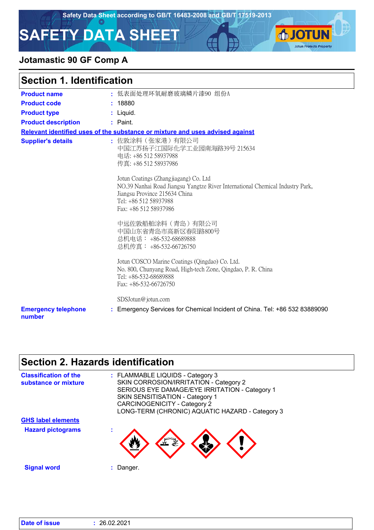**IOTUN** 

**Jotun Protects Property** 

# **SAFETY DATA SHEET**

### **Jotamastic 90 GF Comp A**

|  |  | <b>Section 1. Identification</b> |  |
|--|--|----------------------------------|--|
|--|--|----------------------------------|--|

| <b>Product name</b>                  | : 低表面处理环氧耐磨玻璃鳞片漆90 组份A                                                                                                                                                                                    |
|--------------------------------------|-----------------------------------------------------------------------------------------------------------------------------------------------------------------------------------------------------------|
| <b>Product code</b>                  | : 18880                                                                                                                                                                                                   |
| <b>Product type</b>                  | : Liquid.                                                                                                                                                                                                 |
| <b>Product description</b>           | $:$ Paint.                                                                                                                                                                                                |
|                                      | Relevant identified uses of the substance or mixture and uses advised against                                                                                                                             |
| <b>Supplier's details</b>            | : 佐敦涂料 (张家港) 有限公司<br>中国江苏扬子江国际化学工业园南海路39号 215634<br>电话: +86 512 58937988<br>传真: +86 512 58937986                                                                                                          |
|                                      | Jotun Coatings (Zhangjiagang) Co. Ltd<br>NO.39 Nanhai Road Jiangsu Yangtze River International Chemical Industry Park,<br>Jiangsu Province 215634 China<br>Tel: +86 512 58937988<br>Fax: +86 512 58937986 |
|                                      | 中远佐敦船舶涂料 (青岛) 有限公司<br>中国山东省青岛市高新区春阳路800号<br>总机电话: +86-532-68689888<br>总机传真: +86-532-66726750                                                                                                              |
|                                      | Jotun COSCO Marine Coatings (Qingdao) Co. Ltd.<br>No. 800, Chunyang Road, High-tech Zone, Qingdao, P. R. China<br>Tel: +86-532-68689888<br>Fax: $+86-532-66726750$                                        |
|                                      | SDSJotun@jotun.com                                                                                                                                                                                        |
| <b>Emergency telephone</b><br>number | : Emergency Services for Chemical Incident of China. Tel: +86 532 83889090                                                                                                                                |

# **Section 2. Hazards identification**

| <b>Classification of the</b><br>substance or mixture | : FLAMMABLE LIQUIDS - Category 3<br>SKIN CORROSION/IRRITATION - Category 2<br>SERIOUS EYE DAMAGE/EYE IRRITATION - Category 1<br><b>SKIN SENSITISATION - Category 1</b><br><b>CARCINOGENICITY - Category 2</b><br>LONG-TERM (CHRONIC) AQUATIC HAZARD - Category 3 |
|------------------------------------------------------|------------------------------------------------------------------------------------------------------------------------------------------------------------------------------------------------------------------------------------------------------------------|
| <b>GHS label elements</b>                            |                                                                                                                                                                                                                                                                  |
| <b>Hazard pictograms</b>                             |                                                                                                                                                                                                                                                                  |
| <b>Signal word</b>                                   | Danger.                                                                                                                                                                                                                                                          |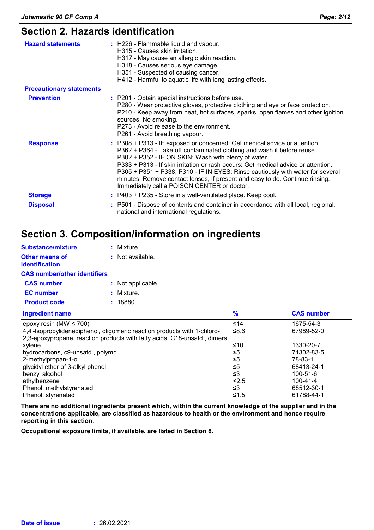# **Section 2. Hazards identification**

| <b>Hazard statements</b>        | : H226 - Flammable liquid and vapour.<br>H315 - Causes skin irritation.<br>H317 - May cause an allergic skin reaction.<br>H318 - Causes serious eye damage.<br>H351 - Suspected of causing cancer.<br>H412 - Harmful to aquatic life with long lasting effects.                                                                                                                                                                                                                                                   |
|---------------------------------|-------------------------------------------------------------------------------------------------------------------------------------------------------------------------------------------------------------------------------------------------------------------------------------------------------------------------------------------------------------------------------------------------------------------------------------------------------------------------------------------------------------------|
| <b>Precautionary statements</b> |                                                                                                                                                                                                                                                                                                                                                                                                                                                                                                                   |
| <b>Prevention</b>               | : P201 - Obtain special instructions before use.<br>P280 - Wear protective gloves, protective clothing and eye or face protection.<br>P210 - Keep away from heat, hot surfaces, sparks, open flames and other ignition<br>sources. No smoking.<br>P273 - Avoid release to the environment.<br>P261 - Avoid breathing vapour.                                                                                                                                                                                      |
| <b>Response</b>                 | : P308 + P313 - IF exposed or concerned: Get medical advice or attention.<br>P362 + P364 - Take off contaminated clothing and wash it before reuse.<br>P302 + P352 - IF ON SKIN: Wash with plenty of water.<br>P333 + P313 - If skin irritation or rash occurs: Get medical advice or attention.<br>P305 + P351 + P338, P310 - IF IN EYES: Rinse cautiously with water for several<br>minutes. Remove contact lenses, if present and easy to do. Continue rinsing.<br>Immediately call a POISON CENTER or doctor. |
| <b>Storage</b>                  | : P403 + P235 - Store in a well-ventilated place. Keep cool.                                                                                                                                                                                                                                                                                                                                                                                                                                                      |
| <b>Disposal</b>                 | : P501 - Dispose of contents and container in accordance with all local, regional,<br>national and international regulations.                                                                                                                                                                                                                                                                                                                                                                                     |

# **Section 3. Composition/information on ingredients**

| <b>Substance/mixture</b>                                                                                                                       | : Mixture          |
|------------------------------------------------------------------------------------------------------------------------------------------------|--------------------|
| Other means of<br>identification                                                                                                               | $:$ Not available. |
| <b>CAS number/other identifiers</b>                                                                                                            |                    |
| <b>CAS number</b>                                                                                                                              | : Not applicable.  |
| <b>EC</b> number                                                                                                                               | : Mixture.         |
| <b>Product code</b>                                                                                                                            | : 18880            |
| <b>Ingredient name</b>                                                                                                                         |                    |
| epoxy resin (MW $\leq$ 700)<br>4,4'-Isopropylidenediphenol, oligomeric reaction produ<br>2,3-epoxypropane, reaction products with fatty acids, |                    |

| epoxy resin (MW $\leq$ 700)                                               | $≤14$ | 1675-54-3      |
|---------------------------------------------------------------------------|-------|----------------|
| 4,4'-Isopropylidenediphenol, oligomeric reaction products with 1-chloro-  | ≤8.6  | 67989-52-0     |
| 2,3-epoxypropane, reaction products with fatty acids, C18-unsatd., dimers |       |                |
| xylene                                                                    | ≤10   | 1330-20-7      |
| hydrocarbons, c9-unsatd., polymd.                                         | ≤5    | 71302-83-5     |
| 2-methylpropan-1-ol                                                       | ≤5    | 78-83-1        |
| glycidyl ether of 3-alkyl phenol                                          | ≤5    | 68413-24-1     |
| benzyl alcohol                                                            | וצ≥   | $100 - 51 - 6$ |
| ethylbenzene                                                              | 2.5   | 100-41-4       |
| Phenol, methylstyrenated                                                  | ו≥ ≥  | 68512-30-1     |
| Phenol, styrenated                                                        | ≤1.5  | 61788-44-1     |

**Ingredient name % CAS number**

**There are no additional ingredients present which, within the current knowledge of the supplier and in the concentrations applicable, are classified as hazardous to health or the environment and hence require reporting in this section.**

**Occupational exposure limits, if available, are listed in Section 8.**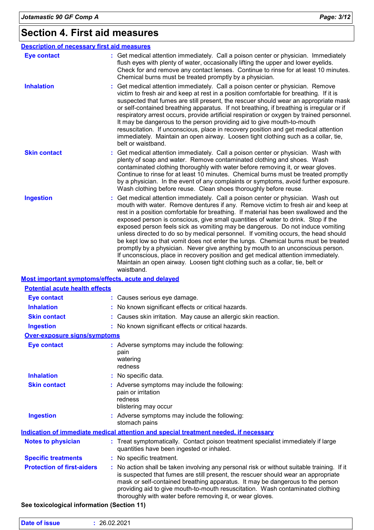# **Section 4. First aid measures**

| <b>Description of necessary first aid measures</b> |                                                                                                                                                                                                                                                                                                                                                                                                                                                                                                                                                                                                                                                                                                                                                                                                                                                                                      |
|----------------------------------------------------|--------------------------------------------------------------------------------------------------------------------------------------------------------------------------------------------------------------------------------------------------------------------------------------------------------------------------------------------------------------------------------------------------------------------------------------------------------------------------------------------------------------------------------------------------------------------------------------------------------------------------------------------------------------------------------------------------------------------------------------------------------------------------------------------------------------------------------------------------------------------------------------|
| <b>Eye contact</b>                                 | : Get medical attention immediately. Call a poison center or physician. Immediately<br>flush eyes with plenty of water, occasionally lifting the upper and lower eyelids.<br>Check for and remove any contact lenses. Continue to rinse for at least 10 minutes.<br>Chemical burns must be treated promptly by a physician.                                                                                                                                                                                                                                                                                                                                                                                                                                                                                                                                                          |
| <b>Inhalation</b>                                  | Get medical attention immediately. Call a poison center or physician. Remove<br>victim to fresh air and keep at rest in a position comfortable for breathing. If it is<br>suspected that fumes are still present, the rescuer should wear an appropriate mask<br>or self-contained breathing apparatus. If not breathing, if breathing is irregular or if<br>respiratory arrest occurs, provide artificial respiration or oxygen by trained personnel.<br>It may be dangerous to the person providing aid to give mouth-to-mouth<br>resuscitation. If unconscious, place in recovery position and get medical attention<br>immediately. Maintain an open airway. Loosen tight clothing such as a collar, tie,<br>belt or waistband.                                                                                                                                                  |
| <b>Skin contact</b>                                | Get medical attention immediately. Call a poison center or physician. Wash with<br>plenty of soap and water. Remove contaminated clothing and shoes. Wash<br>contaminated clothing thoroughly with water before removing it, or wear gloves.<br>Continue to rinse for at least 10 minutes. Chemical burns must be treated promptly<br>by a physician. In the event of any complaints or symptoms, avoid further exposure.<br>Wash clothing before reuse. Clean shoes thoroughly before reuse.                                                                                                                                                                                                                                                                                                                                                                                        |
| <b>Ingestion</b>                                   | Get medical attention immediately. Call a poison center or physician. Wash out<br>mouth with water. Remove dentures if any. Remove victim to fresh air and keep at<br>rest in a position comfortable for breathing. If material has been swallowed and the<br>exposed person is conscious, give small quantities of water to drink. Stop if the<br>exposed person feels sick as vomiting may be dangerous. Do not induce vomiting<br>unless directed to do so by medical personnel. If vomiting occurs, the head should<br>be kept low so that vomit does not enter the lungs. Chemical burns must be treated<br>promptly by a physician. Never give anything by mouth to an unconscious person.<br>If unconscious, place in recovery position and get medical attention immediately.<br>Maintain an open airway. Loosen tight clothing such as a collar, tie, belt or<br>waistband. |
| Most important symptoms/effects, acute and delayed |                                                                                                                                                                                                                                                                                                                                                                                                                                                                                                                                                                                                                                                                                                                                                                                                                                                                                      |
| <b>Potential acute health effects</b>              |                                                                                                                                                                                                                                                                                                                                                                                                                                                                                                                                                                                                                                                                                                                                                                                                                                                                                      |
| <b>Eye contact</b>                                 | : Causes serious eye damage.                                                                                                                                                                                                                                                                                                                                                                                                                                                                                                                                                                                                                                                                                                                                                                                                                                                         |
| <b>Inhalation</b>                                  | : No known significant effects or critical hazards.                                                                                                                                                                                                                                                                                                                                                                                                                                                                                                                                                                                                                                                                                                                                                                                                                                  |
| <b>Skin contact</b>                                | Causes skin irritation. May cause an allergic skin reaction.                                                                                                                                                                                                                                                                                                                                                                                                                                                                                                                                                                                                                                                                                                                                                                                                                         |
| <b>Ingestion</b>                                   | : No known significant effects or critical hazards.                                                                                                                                                                                                                                                                                                                                                                                                                                                                                                                                                                                                                                                                                                                                                                                                                                  |
| <b>Over-exposure signs/symptoms</b>                |                                                                                                                                                                                                                                                                                                                                                                                                                                                                                                                                                                                                                                                                                                                                                                                                                                                                                      |
| <b>Eye contact</b>                                 | : Adverse symptoms may include the following:<br>pain<br>watering<br>redness                                                                                                                                                                                                                                                                                                                                                                                                                                                                                                                                                                                                                                                                                                                                                                                                         |
| <b>Inhalation</b>                                  | No specific data.                                                                                                                                                                                                                                                                                                                                                                                                                                                                                                                                                                                                                                                                                                                                                                                                                                                                    |
| <b>Skin contact</b>                                | Adverse symptoms may include the following:<br>pain or irritation<br>redness<br>blistering may occur                                                                                                                                                                                                                                                                                                                                                                                                                                                                                                                                                                                                                                                                                                                                                                                 |
| <b>Ingestion</b>                                   | : Adverse symptoms may include the following:<br>stomach pains                                                                                                                                                                                                                                                                                                                                                                                                                                                                                                                                                                                                                                                                                                                                                                                                                       |
|                                                    | Indication of immediate medical attention and special treatment needed, if necessary                                                                                                                                                                                                                                                                                                                                                                                                                                                                                                                                                                                                                                                                                                                                                                                                 |
| <b>Notes to physician</b>                          | : Treat symptomatically. Contact poison treatment specialist immediately if large<br>quantities have been ingested or inhaled.                                                                                                                                                                                                                                                                                                                                                                                                                                                                                                                                                                                                                                                                                                                                                       |
| <b>Specific treatments</b>                         | : No specific treatment.                                                                                                                                                                                                                                                                                                                                                                                                                                                                                                                                                                                                                                                                                                                                                                                                                                                             |
| <b>Protection of first-aiders</b>                  | No action shall be taken involving any personal risk or without suitable training. If it<br>is suspected that fumes are still present, the rescuer should wear an appropriate<br>mask or self-contained breathing apparatus. It may be dangerous to the person<br>providing aid to give mouth-to-mouth resuscitation. Wash contaminated clothing<br>thoroughly with water before removing it, or wear gloves.                                                                                                                                                                                                                                                                                                                                                                                                                                                                        |

### **See toxicological information (Section 11)**

| <b>Date of issue</b> | 26.02.2021 |  |  |  |
|----------------------|------------|--|--|--|
|----------------------|------------|--|--|--|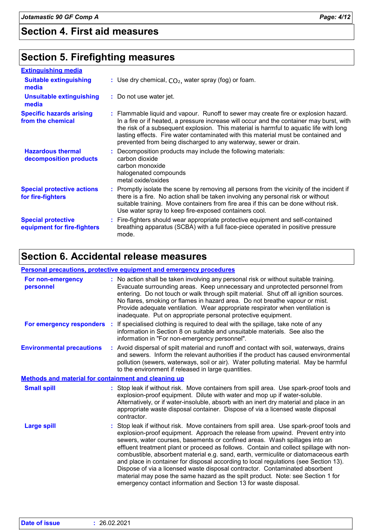### **Section 4. First aid measures**

### **Section 5. Firefighting measures**

| <b>Extinguishing media</b>                               |                                                                                                                                                                                                                                                                                                                                                                                                                                    |
|----------------------------------------------------------|------------------------------------------------------------------------------------------------------------------------------------------------------------------------------------------------------------------------------------------------------------------------------------------------------------------------------------------------------------------------------------------------------------------------------------|
| <b>Suitable extinguishing</b><br>media                   | : Use dry chemical, $CO2$ , water spray (fog) or foam.                                                                                                                                                                                                                                                                                                                                                                             |
| <b>Unsuitable extinguishing</b><br>media                 | : Do not use water jet.                                                                                                                                                                                                                                                                                                                                                                                                            |
| <b>Specific hazards arising</b><br>from the chemical     | : Flammable liquid and vapour. Runoff to sewer may create fire or explosion hazard.<br>In a fire or if heated, a pressure increase will occur and the container may burst, with<br>the risk of a subsequent explosion. This material is harmful to aquatic life with long<br>lasting effects. Fire water contaminated with this material must be contained and<br>prevented from being discharged to any waterway, sewer or drain. |
| <b>Hazardous thermal</b><br>decomposition products       | : Decomposition products may include the following materials:<br>carbon dioxide<br>carbon monoxide<br>halogenated compounds<br>metal oxide/oxides                                                                                                                                                                                                                                                                                  |
| <b>Special protective actions</b><br>for fire-fighters   | : Promptly isolate the scene by removing all persons from the vicinity of the incident if<br>there is a fire. No action shall be taken involving any personal risk or without<br>suitable training. Move containers from fire area if this can be done without risk.<br>Use water spray to keep fire-exposed containers cool.                                                                                                      |
| <b>Special protective</b><br>equipment for fire-fighters | : Fire-fighters should wear appropriate protective equipment and self-contained<br>breathing apparatus (SCBA) with a full face-piece operated in positive pressure<br>mode.                                                                                                                                                                                                                                                        |

## **Section 6. Accidental release measures**

### **Personal precautions, protective equipment and emergency procedures**

| For non-emergency<br>personnel                              | : No action shall be taken involving any personal risk or without suitable training.<br>Evacuate surrounding areas. Keep unnecessary and unprotected personnel from<br>entering. Do not touch or walk through spilt material. Shut off all ignition sources.<br>No flares, smoking or flames in hazard area. Do not breathe vapour or mist.<br>Provide adequate ventilation. Wear appropriate respirator when ventilation is<br>inadequate. Put on appropriate personal protective equipment.                                                                                                                                                                                                                                                                           |
|-------------------------------------------------------------|-------------------------------------------------------------------------------------------------------------------------------------------------------------------------------------------------------------------------------------------------------------------------------------------------------------------------------------------------------------------------------------------------------------------------------------------------------------------------------------------------------------------------------------------------------------------------------------------------------------------------------------------------------------------------------------------------------------------------------------------------------------------------|
| For emergency responders :                                  | If specialised clothing is required to deal with the spillage, take note of any<br>information in Section 8 on suitable and unsuitable materials. See also the<br>information in "For non-emergency personnel".                                                                                                                                                                                                                                                                                                                                                                                                                                                                                                                                                         |
| <b>Environmental precautions</b>                            | : Avoid dispersal of spilt material and runoff and contact with soil, waterways, drains<br>and sewers. Inform the relevant authorities if the product has caused environmental<br>pollution (sewers, waterways, soil or air). Water polluting material. May be harmful<br>to the environment if released in large quantities.                                                                                                                                                                                                                                                                                                                                                                                                                                           |
| <b>Methods and material for containment and cleaning up</b> |                                                                                                                                                                                                                                                                                                                                                                                                                                                                                                                                                                                                                                                                                                                                                                         |
| <b>Small spill</b>                                          | : Stop leak if without risk. Move containers from spill area. Use spark-proof tools and<br>explosion-proof equipment. Dilute with water and mop up if water-soluble.<br>Alternatively, or if water-insoluble, absorb with an inert dry material and place in an<br>appropriate waste disposal container. Dispose of via a licensed waste disposal<br>contractor.                                                                                                                                                                                                                                                                                                                                                                                                        |
| <b>Large spill</b>                                          | : Stop leak if without risk. Move containers from spill area. Use spark-proof tools and<br>explosion-proof equipment. Approach the release from upwind. Prevent entry into<br>sewers, water courses, basements or confined areas. Wash spillages into an<br>effluent treatment plant or proceed as follows. Contain and collect spillage with non-<br>combustible, absorbent material e.g. sand, earth, vermiculite or diatomaceous earth<br>and place in container for disposal according to local regulations (see Section 13).<br>Dispose of via a licensed waste disposal contractor. Contaminated absorbent<br>material may pose the same hazard as the spilt product. Note: see Section 1 for<br>emergency contact information and Section 13 for waste disposal. |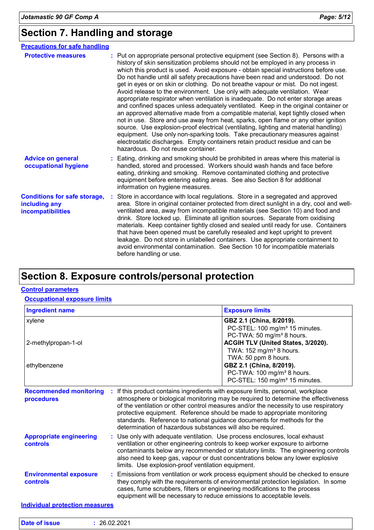# **Section 7. Handling and storage**

| <b>Precautions for safe handling</b>                                      |                                                                                                                                                                                                                                                                                                                                                                                                                                                                                                                                                                                                                                                                                                                                                                                                                                                                                                                                                                                                                                                                                                                                                                          |
|---------------------------------------------------------------------------|--------------------------------------------------------------------------------------------------------------------------------------------------------------------------------------------------------------------------------------------------------------------------------------------------------------------------------------------------------------------------------------------------------------------------------------------------------------------------------------------------------------------------------------------------------------------------------------------------------------------------------------------------------------------------------------------------------------------------------------------------------------------------------------------------------------------------------------------------------------------------------------------------------------------------------------------------------------------------------------------------------------------------------------------------------------------------------------------------------------------------------------------------------------------------|
| <b>Protective measures</b>                                                | : Put on appropriate personal protective equipment (see Section 8). Persons with a<br>history of skin sensitization problems should not be employed in any process in<br>which this product is used. Avoid exposure - obtain special instructions before use.<br>Do not handle until all safety precautions have been read and understood. Do not<br>get in eyes or on skin or clothing. Do not breathe vapour or mist. Do not ingest.<br>Avoid release to the environment. Use only with adequate ventilation. Wear<br>appropriate respirator when ventilation is inadequate. Do not enter storage areas<br>and confined spaces unless adequately ventilated. Keep in the original container or<br>an approved alternative made from a compatible material, kept tightly closed when<br>not in use. Store and use away from heat, sparks, open flame or any other ignition<br>source. Use explosion-proof electrical (ventilating, lighting and material handling)<br>equipment. Use only non-sparking tools. Take precautionary measures against<br>electrostatic discharges. Empty containers retain product residue and can be<br>hazardous. Do not reuse container. |
| <b>Advice on general</b><br>occupational hygiene                          | Eating, drinking and smoking should be prohibited in areas where this material is<br>handled, stored and processed. Workers should wash hands and face before<br>eating, drinking and smoking. Remove contaminated clothing and protective<br>equipment before entering eating areas. See also Section 8 for additional<br>information on hygiene measures.                                                                                                                                                                                                                                                                                                                                                                                                                                                                                                                                                                                                                                                                                                                                                                                                              |
| <b>Conditions for safe storage,</b><br>including any<br>incompatibilities | Store in accordance with local regulations. Store in a segregated and approved<br>area. Store in original container protected from direct sunlight in a dry, cool and well-<br>ventilated area, away from incompatible materials (see Section 10) and food and<br>drink. Store locked up. Eliminate all ignition sources. Separate from oxidising<br>materials. Keep container tightly closed and sealed until ready for use. Containers<br>that have been opened must be carefully resealed and kept upright to prevent<br>leakage. Do not store in unlabelled containers. Use appropriate containment to<br>avoid environmental contamination. See Section 10 for incompatible materials<br>before handling or use.                                                                                                                                                                                                                                                                                                                                                                                                                                                    |

# **Section 8. Exposure controls/personal protection**

### **Control parameters**

#### **Occupational exposure limits**

| <b>Ingredient name</b>                            |                                                                                                                                                                                                                                                                                                                                                                                                                                                                                     | <b>Exposure limits</b>                                                                                          |
|---------------------------------------------------|-------------------------------------------------------------------------------------------------------------------------------------------------------------------------------------------------------------------------------------------------------------------------------------------------------------------------------------------------------------------------------------------------------------------------------------------------------------------------------------|-----------------------------------------------------------------------------------------------------------------|
| xylene                                            |                                                                                                                                                                                                                                                                                                                                                                                                                                                                                     | GBZ 2.1 (China, 8/2019).<br>PC-STEL: 100 mg/m <sup>3</sup> 15 minutes.<br>PC-TWA: 50 mg/m <sup>3</sup> 8 hours. |
| 2-methylpropan-1-ol                               |                                                                                                                                                                                                                                                                                                                                                                                                                                                                                     | ACGIH TLV (United States, 3/2020).<br>TWA: 152 mg/m <sup>3</sup> 8 hours.<br>TWA: 50 ppm 8 hours.               |
| ethylbenzene                                      | GBZ 2.1 (China, 8/2019).<br>PC-TWA: 100 mg/m <sup>3</sup> 8 hours.<br>PC-STEL: 150 mg/m <sup>3</sup> 15 minutes.                                                                                                                                                                                                                                                                                                                                                                    |                                                                                                                 |
| <b>Recommended monitoring</b><br>procedures       | If this product contains ingredients with exposure limits, personal, workplace<br>atmosphere or biological monitoring may be required to determine the effectiveness<br>of the ventilation or other control measures and/or the necessity to use respiratory<br>protective equipment. Reference should be made to appropriate monitoring<br>standards. Reference to national guidance documents for methods for the<br>determination of hazardous substances will also be required. |                                                                                                                 |
| <b>Appropriate engineering</b><br><b>controls</b> | : Use only with adequate ventilation. Use process enclosures, local exhaust<br>ventilation or other engineering controls to keep worker exposure to airborne<br>contaminants below any recommended or statutory limits. The engineering controls<br>also need to keep gas, vapour or dust concentrations below any lower explosive<br>limits. Use explosion-proof ventilation equipment.                                                                                            |                                                                                                                 |
| <b>Environmental exposure</b><br><b>controls</b>  | : Emissions from ventilation or work process equipment should be checked to ensure<br>they comply with the requirements of environmental protection legislation. In some<br>cases, fume scrubbers, filters or engineering modifications to the process                                                                                                                                                                                                                              |                                                                                                                 |

equipment will be necessary to reduce emissions to acceptable levels.

**Individual protection measures**

| Date of issue | 26.02.2021 |  |  |
|---------------|------------|--|--|
|---------------|------------|--|--|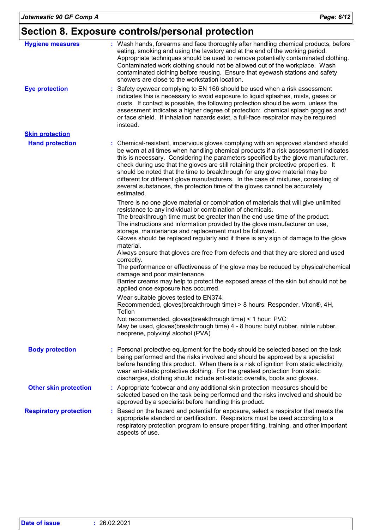# **Section 8. Exposure controls/personal protection**

| <b>Hygiene measures</b>       | : Wash hands, forearms and face thoroughly after handling chemical products, before<br>eating, smoking and using the lavatory and at the end of the working period.<br>Appropriate techniques should be used to remove potentially contaminated clothing.<br>Contaminated work clothing should not be allowed out of the workplace. Wash<br>contaminated clothing before reusing. Ensure that eyewash stations and safety<br>showers are close to the workstation location.                                                                                                                                                                                                                                                                                                                                                       |
|-------------------------------|-----------------------------------------------------------------------------------------------------------------------------------------------------------------------------------------------------------------------------------------------------------------------------------------------------------------------------------------------------------------------------------------------------------------------------------------------------------------------------------------------------------------------------------------------------------------------------------------------------------------------------------------------------------------------------------------------------------------------------------------------------------------------------------------------------------------------------------|
| <b>Eye protection</b>         | Safety eyewear complying to EN 166 should be used when a risk assessment<br>indicates this is necessary to avoid exposure to liquid splashes, mists, gases or<br>dusts. If contact is possible, the following protection should be worn, unless the<br>assessment indicates a higher degree of protection: chemical splash goggles and/<br>or face shield. If inhalation hazards exist, a full-face respirator may be required<br>instead.                                                                                                                                                                                                                                                                                                                                                                                        |
| <b>Skin protection</b>        |                                                                                                                                                                                                                                                                                                                                                                                                                                                                                                                                                                                                                                                                                                                                                                                                                                   |
| <b>Hand protection</b>        | : Chemical-resistant, impervious gloves complying with an approved standard should<br>be worn at all times when handling chemical products if a risk assessment indicates<br>this is necessary. Considering the parameters specified by the glove manufacturer,<br>check during use that the gloves are still retaining their protective properties. It<br>should be noted that the time to breakthrough for any glove material may be<br>different for different glove manufacturers. In the case of mixtures, consisting of<br>several substances, the protection time of the gloves cannot be accurately<br>estimated.                                                                                                                                                                                                         |
|                               | There is no one glove material or combination of materials that will give unlimited<br>resistance to any individual or combination of chemicals.<br>The breakthrough time must be greater than the end use time of the product.<br>The instructions and information provided by the glove manufacturer on use,<br>storage, maintenance and replacement must be followed.<br>Gloves should be replaced regularly and if there is any sign of damage to the glove<br>material.<br>Always ensure that gloves are free from defects and that they are stored and used<br>correctly.<br>The performance or effectiveness of the glove may be reduced by physical/chemical<br>damage and poor maintenance.<br>Barrier creams may help to protect the exposed areas of the skin but should not be<br>applied once exposure has occurred. |
|                               | Wear suitable gloves tested to EN374.<br>Recommended, gloves(breakthrough time) > 8 hours: Responder, Viton®, 4H,<br>Teflon<br>Not recommended, gloves(breakthrough time) < 1 hour: PVC<br>May be used, gloves(breakthrough time) 4 - 8 hours: butyl rubber, nitrile rubber,<br>neoprene, polyvinyl alcohol (PVA)                                                                                                                                                                                                                                                                                                                                                                                                                                                                                                                 |
| <b>Body protection</b>        | Personal protective equipment for the body should be selected based on the task<br>being performed and the risks involved and should be approved by a specialist<br>before handling this product. When there is a risk of ignition from static electricity,<br>wear anti-static protective clothing. For the greatest protection from static<br>discharges, clothing should include anti-static overalls, boots and gloves.                                                                                                                                                                                                                                                                                                                                                                                                       |
| <b>Other skin protection</b>  | : Appropriate footwear and any additional skin protection measures should be<br>selected based on the task being performed and the risks involved and should be<br>approved by a specialist before handling this product.                                                                                                                                                                                                                                                                                                                                                                                                                                                                                                                                                                                                         |
| <b>Respiratory protection</b> | Based on the hazard and potential for exposure, select a respirator that meets the<br>appropriate standard or certification. Respirators must be used according to a<br>respiratory protection program to ensure proper fitting, training, and other important<br>aspects of use.                                                                                                                                                                                                                                                                                                                                                                                                                                                                                                                                                 |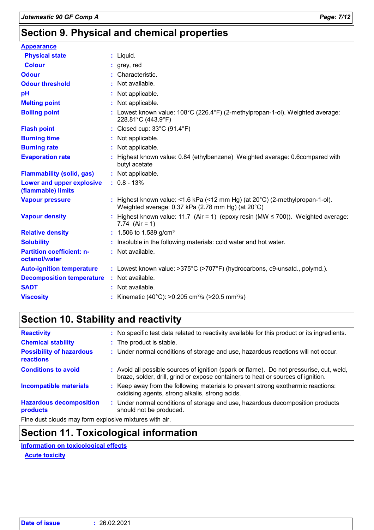# **Section 9. Physical and chemical properties**

| <b>Appearance</b>                                 |                                                                                                                                             |
|---------------------------------------------------|---------------------------------------------------------------------------------------------------------------------------------------------|
| <b>Physical state</b>                             | : Liquid.                                                                                                                                   |
| <b>Colour</b>                                     | $:$ grey, red                                                                                                                               |
| <b>Odour</b>                                      | Characteristic.                                                                                                                             |
| <b>Odour threshold</b>                            | Not available.                                                                                                                              |
| pH                                                | : Not applicable.                                                                                                                           |
| <b>Melting point</b>                              | Not applicable.                                                                                                                             |
| <b>Boiling point</b>                              | : Lowest known value: $108^{\circ}$ C (226.4 $^{\circ}$ F) (2-methylpropan-1-ol). Weighted average:<br>228.81°C (443.9°F)                   |
| <b>Flash point</b>                                | : Closed cup: $33^{\circ}$ C (91.4 $^{\circ}$ F)                                                                                            |
| <b>Burning time</b>                               | : Not applicable.                                                                                                                           |
| <b>Burning rate</b>                               | : Not applicable.                                                                                                                           |
| <b>Evaporation rate</b>                           | Highest known value: 0.84 (ethylbenzene) Weighted average: 0.6compared with<br>butyl acetate                                                |
| <b>Flammability (solid, gas)</b>                  | : Not applicable.                                                                                                                           |
| Lower and upper explosive<br>(flammable) limits   | $: 0.8 - 13%$                                                                                                                               |
| <b>Vapour pressure</b>                            | : Highest known value: <1.6 kPa (<12 mm Hg) (at $20^{\circ}$ C) (2-methylpropan-1-ol).<br>Weighted average: 0.37 kPa (2.78 mm Hg) (at 20°C) |
| <b>Vapour density</b>                             | : Highest known value: 11.7 (Air = 1) (epoxy resin (MW $\leq$ 700)). Weighted average:<br>7.74 (Air = 1)                                    |
| <b>Relative density</b>                           | : 1.506 to 1.589 g/cm <sup>3</sup>                                                                                                          |
| <b>Solubility</b>                                 | Insoluble in the following materials: cold water and hot water.                                                                             |
| <b>Partition coefficient: n-</b><br>octanol/water | : Not available.                                                                                                                            |
| <b>Auto-ignition temperature</b>                  | : Lowest known value: >375°C (>707°F) (hydrocarbons, c9-unsatd., polymd.).                                                                  |
| <b>Decomposition temperature</b>                  | : Not available.                                                                                                                            |
| <b>SADT</b>                                       | : Not available.                                                                                                                            |
| <b>Viscosity</b>                                  | : Kinematic (40°C): >0.205 cm <sup>2</sup> /s (>20.5 mm <sup>2</sup> /s)                                                                    |

# **Section 10. Stability and reactivity**

| <b>Reactivity</b>                            | : No specific test data related to reactivity available for this product or its ingredients.                                                                                 |
|----------------------------------------------|------------------------------------------------------------------------------------------------------------------------------------------------------------------------------|
| <b>Chemical stability</b>                    | : The product is stable.                                                                                                                                                     |
| <b>Possibility of hazardous</b><br>reactions | : Under normal conditions of storage and use, hazardous reactions will not occur.                                                                                            |
| <b>Conditions to avoid</b>                   | : Avoid all possible sources of ignition (spark or flame). Do not pressurise, cut, weld,<br>braze, solder, drill, grind or expose containers to heat or sources of ignition. |
| <b>Incompatible materials</b>                | : Keep away from the following materials to prevent strong exothermic reactions:<br>oxidising agents, strong alkalis, strong acids.                                          |
| <b>Hazardous decomposition</b><br>products   | : Under normal conditions of storage and use, hazardous decomposition products<br>should not be produced.                                                                    |
|                                              |                                                                                                                                                                              |

Fine dust clouds may form explosive mixtures with air.

### **Section 11. Toxicological information**

**Information on toxicological effects**

**Acute toxicity**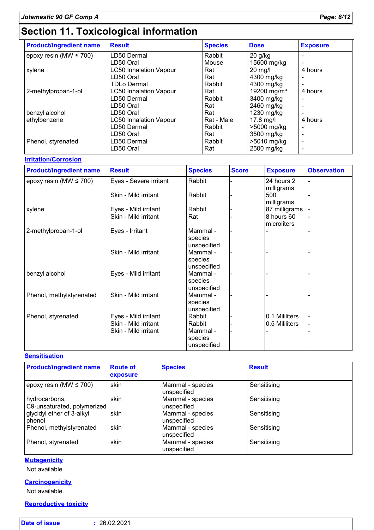# **Section 11. Toxicological information**

| <b>Product/ingredient name</b> | <b>Result</b>                 | <b>Species</b> | <b>Dose</b>             | <b>Exposure</b>          |
|--------------------------------|-------------------------------|----------------|-------------------------|--------------------------|
| epoxy resin (MW $\leq$ 700)    | LD50 Dermal                   | Rabbit         | $20$ g/kg               |                          |
|                                | LD50 Oral                     | Mouse          | 15600 mg/kg             |                          |
| xylene                         | <b>LC50 Inhalation Vapour</b> | Rat            | $20$ mg/l               | 4 hours                  |
|                                | LD50 Oral                     | Rat            | 4300 mg/kg              |                          |
|                                | <b>TDLo Dermal</b>            | Rabbit         | 4300 mg/kg              |                          |
| 2-methylpropan-1-ol            | <b>LC50 Inhalation Vapour</b> | Rat            | 19200 mg/m <sup>3</sup> | 4 hours                  |
|                                | LD50 Dermal                   | Rabbit         | 3400 mg/kg              |                          |
|                                | LD50 Oral                     | Rat            | 2460 mg/kg              |                          |
| benzyl alcohol                 | LD50 Oral                     | Rat            | 1230 mg/kg              |                          |
| ethylbenzene                   | <b>LC50 Inhalation Vapour</b> | Rat - Male     | $17.8$ mg/l             | 4 hours                  |
|                                | LD50 Dermal                   | Rabbit         | >5000 mg/kg             |                          |
|                                | LD50 Oral                     | Rat            | 3500 mg/kg              | $\overline{\phantom{0}}$ |
| Phenol, styrenated             | LD50 Dermal                   | Rabbit         | >5010 mg/kg             |                          |
|                                | LD50 Oral                     | Rat            | 2500 mg/kg              |                          |

### **Irritation/Corrosion**

| <b>Product/ingredient name</b> | <b>Result</b>          | <b>Species</b> | <b>Score</b> | <b>Exposure</b> | <b>Observation</b> |
|--------------------------------|------------------------|----------------|--------------|-----------------|--------------------|
| epoxy resin (MW $\leq$ 700)    | Eyes - Severe irritant | Rabbit         |              | 24 hours 2      |                    |
|                                |                        |                |              | milligrams      |                    |
|                                | Skin - Mild irritant   | Rabbit         |              | 500             |                    |
|                                |                        |                |              | milligrams      |                    |
| xylene                         | Eyes - Mild irritant   | Rabbit         |              | 87 milligrams   |                    |
|                                | Skin - Mild irritant   | Rat            |              | 8 hours 60      |                    |
|                                |                        |                |              | microliters     |                    |
| 2-methylpropan-1-ol            | Eyes - Irritant        | Mammal -       |              |                 |                    |
|                                |                        | species        |              |                 |                    |
|                                |                        | unspecified    |              |                 |                    |
|                                | Skin - Mild irritant   | Mammal -       |              |                 |                    |
|                                |                        | species        |              |                 |                    |
|                                |                        | unspecified    |              |                 |                    |
| benzyl alcohol                 | Eyes - Mild irritant   | Mammal -       |              |                 |                    |
|                                |                        | species        |              |                 |                    |
|                                |                        | unspecified    |              |                 |                    |
| Phenol, methylstyrenated       | Skin - Mild irritant   | Mammal -       |              |                 |                    |
|                                |                        | species        |              |                 |                    |
|                                |                        | unspecified    |              |                 |                    |
| Phenol, styrenated             | Eyes - Mild irritant   | Rabbit         |              | 0.1 Mililiters  |                    |
|                                | Skin - Mild irritant   | Rabbit         |              | 0.5 Mililiters  | $\blacksquare$     |
|                                | Skin - Mild irritant   | Mammal -       |              |                 |                    |
|                                |                        | species        |              |                 |                    |
|                                |                        | unspecified    |              |                 |                    |

### **Sensitisation**

| <b>Product/ingredient name</b>               | <b>Route of</b><br>exposure | <b>Species</b>                  | <b>Result</b> |
|----------------------------------------------|-----------------------------|---------------------------------|---------------|
| epoxy resin (MW $\leq$ 700)                  | skin                        | Mammal - species<br>unspecified | Sensitising   |
| hydrocarbons,<br>C9-unsaturated, polymerized | skin                        | Mammal - species<br>unspecified | Sensitising   |
| glycidyl ether of 3-alkyl<br>phenol          | skin                        | Mammal - species<br>unspecified | Sensitising   |
| Phenol, methylstyrenated                     | skin                        | Mammal - species<br>unspecified | Sensitising   |
| Phenol, styrenated                           | skin                        | Mammal - species<br>unspecified | Sensitising   |

### **Mutagenicity**

Not available.

### **Carcinogenicity**

Not available.

### **Reproductive toxicity**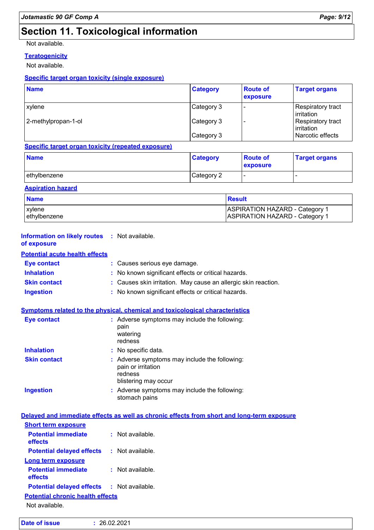# **Section 11. Toxicological information**

Not available.

### **Teratogenicity**

Not available.

### **Specific target organ toxicity (single exposure)**

| <b>Name</b>         | <b>Category</b> | <b>Route of</b><br>exposure | <b>Target organs</b>                   |
|---------------------|-----------------|-----------------------------|----------------------------------------|
| xylene              | Category 3      |                             | <b>Respiratory tract</b><br>irritation |
| 2-methylpropan-1-ol | Category 3      |                             | Respiratory tract<br>irritation        |
|                     | Category 3      |                             | Narcotic effects                       |

### **Specific target organ toxicity (repeated exposure)**

| <b>Name</b>  | <b>Category</b> | <b>Route of</b><br><b>exposure</b> | <b>Target organs</b> |
|--------------|-----------------|------------------------------------|----------------------|
| ethylbenzene | Category 2      | . .                                |                      |

### **Aspiration hazard**

| <b>Name</b>   | <b>Result</b>                         |
|---------------|---------------------------------------|
| <b>xylene</b> | ASPIRATION HAZARD - Category 1        |
| lethvlbenzene | <b>ASPIRATION HAZARD - Category 1</b> |

| <b>Information on likely routes : Not available.</b><br>of exposure |                                                                                                      |  |  |
|---------------------------------------------------------------------|------------------------------------------------------------------------------------------------------|--|--|
| <b>Potential acute health effects</b>                               |                                                                                                      |  |  |
| <b>Eye contact</b>                                                  | : Causes serious eye damage.                                                                         |  |  |
| <b>Inhalation</b>                                                   | No known significant effects or critical hazards.                                                    |  |  |
| <b>Skin contact</b>                                                 | : Causes skin irritation. May cause an allergic skin reaction.                                       |  |  |
| <b>Ingestion</b>                                                    | : No known significant effects or critical hazards.                                                  |  |  |
|                                                                     | Symptoms related to the physical, chemical and toxicological characteristics                         |  |  |
| <b>Eye contact</b>                                                  | : Adverse symptoms may include the following:<br>pain<br>watering<br>redness                         |  |  |
| <b>Inhalation</b>                                                   | : No specific data.                                                                                  |  |  |
| <b>Skin contact</b>                                                 | Adverse symptoms may include the following:<br>pain or irritation<br>redness<br>blistering may occur |  |  |
| <b>Ingestion</b>                                                    | : Adverse symptoms may include the following:<br>stomach pains                                       |  |  |
|                                                                     | Delayed and immediate effects as well as chronic effects from short and long-term exposure           |  |  |
| <b>Short term exposure</b>                                          |                                                                                                      |  |  |
| <b>Potential immediate</b><br>effects                               | : Not available.                                                                                     |  |  |
| <b>Potential delayed effects</b>                                    | : Not available.                                                                                     |  |  |
| <b>Long term exposure</b>                                           |                                                                                                      |  |  |
| <b>Potential immediate</b><br>effects                               | : Not available.                                                                                     |  |  |
| <b>Potential delayed effects</b>                                    | $:$ Not available.                                                                                   |  |  |
| <b>Potential chronic health effects</b>                             |                                                                                                      |  |  |
| Not available.                                                      |                                                                                                      |  |  |
|                                                                     |                                                                                                      |  |  |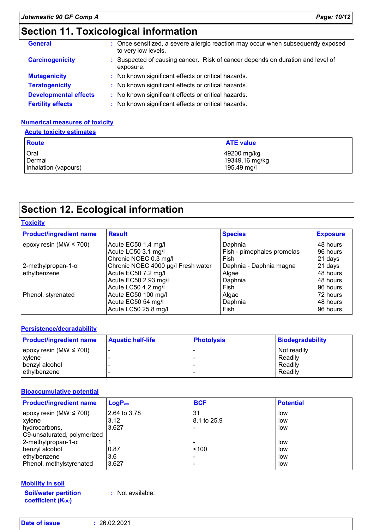| <b>General</b>               | : Once sensitized, a severe allergic reaction may occur when subsequently exposed<br>to very low levels. |
|------------------------------|----------------------------------------------------------------------------------------------------------|
| <b>Carcinogenicity</b>       | : Suspected of causing cancer. Risk of cancer depends on duration and level of<br>exposure.              |
| <b>Mutagenicity</b>          | : No known significant effects or critical hazards.                                                      |
| <b>Teratogenicity</b>        | : No known significant effects or critical hazards.                                                      |
| <b>Developmental effects</b> | : No known significant effects or critical hazards.                                                      |
| <b>Fertility effects</b>     | : No known significant effects or critical hazards.                                                      |

### **Numerical measures of toxicity**

#### **Acute toxicity estimates**

| <b>Route</b>         | <b>ATE value</b> |
|----------------------|------------------|
| Oral                 | 49200 mg/kg      |
| Dermal               | 19349.16 mg/kg   |
| Inhalation (vapours) | 195.49 mg/l      |

# **Section 12. Ecological information**

| <b>Toxicity</b>                    |                            |                 |  |
|------------------------------------|----------------------------|-----------------|--|
| <b>Result</b>                      | <b>Species</b>             | <b>Exposure</b> |  |
| Acute EC50 1.4 mg/l                | Daphnia                    | 48 hours        |  |
| Acute LC50 3.1 mg/l                | Fish - pimephales promelas | 96 hours        |  |
| Chronic NOEC 0.3 mg/l              | Fish                       | 21 days         |  |
| Chronic NOEC 4000 µg/l Fresh water | Daphnia - Daphnia magna    | 21 days         |  |
| Acute EC50 7.2 mg/l                | Algae                      | 48 hours        |  |
| Acute EC50 2.93 mg/l               | Daphnia                    | 48 hours        |  |
| Acute LC50 4.2 mg/l                | Fish                       | 96 hours        |  |
| Acute EC50 100 mg/l                | Algae                      | 72 hours        |  |
| Acute EC50 54 mg/l                 | Daphnia                    | 48 hours        |  |
| Acute LC50 25.8 mg/l               | Fish                       | 96 hours        |  |
|                                    |                            |                 |  |

#### **Persistence/degradability**

| <b>Product/ingredient name</b> | <b>Aquatic half-life</b> | <b>Photolysis</b> | <b>Biodegradability</b> |
|--------------------------------|--------------------------|-------------------|-------------------------|
| epoxy resin (MW $\leq$ 700)    |                          |                   | Not readily             |
| <b>xylene</b>                  |                          |                   | Readily                 |
| I benzvl alcohol               |                          |                   | Readily                 |
| ethylbenzene                   |                          |                   | Readily                 |

#### **Bioaccumulative potential**

| <b>Product/ingredient name</b> | $LogP_{ow}$  | <b>BCF</b>  | <b>Potential</b> |
|--------------------------------|--------------|-------------|------------------|
| epoxy resin (MW $\leq$ 700)    | 2.64 to 3.78 | 31          | low              |
| xylene                         | 3.12         | 8.1 to 25.9 | low              |
| hydrocarbons,                  | 3.627        |             | low              |
| C9-unsaturated, polymerized    |              |             |                  |
| 2-methylpropan-1-ol            |              |             | low              |
| benzyl alcohol                 | 10.87        | < 100       | low              |
| ethylbenzene                   | 3.6          |             | low              |
| Phenol, methylstyrenated       | 3.627        |             | low              |

#### **Mobility in soil**

**Soil/water partition coefficient (KOC)**

**:** Not available.

| <b>Date of issue</b> | : 26.02.2021 |
|----------------------|--------------|
|----------------------|--------------|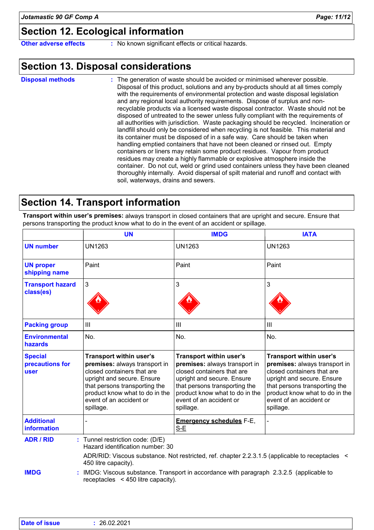# **Section 12. Ecological information**

**Other adverse effects** : No known significant effects or critical hazards.

### **Section 13. Disposal considerations**

The generation of waste should be avoided or minimised wherever possible. Disposal of this product, solutions and any by-products should at all times comply with the requirements of environmental protection and waste disposal legislation and any regional local authority requirements. Dispose of surplus and nonrecyclable products via a licensed waste disposal contractor. Waste should not be disposed of untreated to the sewer unless fully compliant with the requirements of all authorities with jurisdiction. Waste packaging should be recycled. Incineration or landfill should only be considered when recycling is not feasible. This material and its container must be disposed of in a safe way. Care should be taken when handling emptied containers that have not been cleaned or rinsed out. Empty containers or liners may retain some product residues. Vapour from product residues may create a highly flammable or explosive atmosphere inside the container. Do not cut, weld or grind used containers unless they have been cleaned thoroughly internally. Avoid dispersal of spilt material and runoff and contact with soil, waterways, drains and sewers. **Disposal methods :**

### **Section 14. Transport information**

**Transport within user's premises:** always transport in closed containers that are upright and secure. Ensure that persons transporting the product know what to do in the event of an accident or spillage.

|                                           | <b>UN</b>                                                                                                                                                                                                                       | <b>IMDG</b>                                                                                                                                                                                                                     | <b>IATA</b>                                                                                                                                                                                                                            |
|-------------------------------------------|---------------------------------------------------------------------------------------------------------------------------------------------------------------------------------------------------------------------------------|---------------------------------------------------------------------------------------------------------------------------------------------------------------------------------------------------------------------------------|----------------------------------------------------------------------------------------------------------------------------------------------------------------------------------------------------------------------------------------|
| <b>UN number</b>                          | <b>UN1263</b>                                                                                                                                                                                                                   | <b>UN1263</b>                                                                                                                                                                                                                   | <b>UN1263</b>                                                                                                                                                                                                                          |
| <b>UN proper</b><br>shipping name         | Paint                                                                                                                                                                                                                           | Paint                                                                                                                                                                                                                           | Paint                                                                                                                                                                                                                                  |
| <b>Transport hazard</b><br>class(es)      | 3                                                                                                                                                                                                                               | 3                                                                                                                                                                                                                               | 3                                                                                                                                                                                                                                      |
| <b>Packing group</b>                      | III                                                                                                                                                                                                                             | Ш                                                                                                                                                                                                                               | III                                                                                                                                                                                                                                    |
| <b>Environmental</b><br>hazards           | No.                                                                                                                                                                                                                             | No.                                                                                                                                                                                                                             | No.                                                                                                                                                                                                                                    |
| <b>Special</b><br>precautions for<br>user | Transport within user's<br>premises: always transport in<br>closed containers that are<br>upright and secure. Ensure<br>that persons transporting the<br>product know what to do in the<br>event of an accident or<br>spillage. | Transport within user's<br>premises: always transport in<br>closed containers that are<br>upright and secure. Ensure<br>that persons transporting the<br>product know what to do in the<br>event of an accident or<br>spillage. | <b>Transport within user's</b><br>premises: always transport in<br>closed containers that are<br>upright and secure. Ensure<br>that persons transporting the<br>product know what to do in the<br>event of an accident or<br>spillage. |
| <b>Additional</b><br><b>information</b>   |                                                                                                                                                                                                                                 | <b>Emergency schedules F-E,</b><br>S-E                                                                                                                                                                                          |                                                                                                                                                                                                                                        |
| <b>ADR / RID</b>                          | : Tunnel restriction code: (D/E)<br>Hazard identification number: 30                                                                                                                                                            | ADR/RID: Viscous substance. Not restricted, ref. chapter 2.2.3.1.5 (applicable to receptacles <                                                                                                                                 |                                                                                                                                                                                                                                        |
| <b>IMDG</b>                               | 450 litre capacity).<br>IMDG: Viscous substance. Transport in accordance with paragraph 2.3.2.5 (applicable to<br>receptacles $\leq$ 450 litre capacity).                                                                       |                                                                                                                                                                                                                                 |                                                                                                                                                                                                                                        |